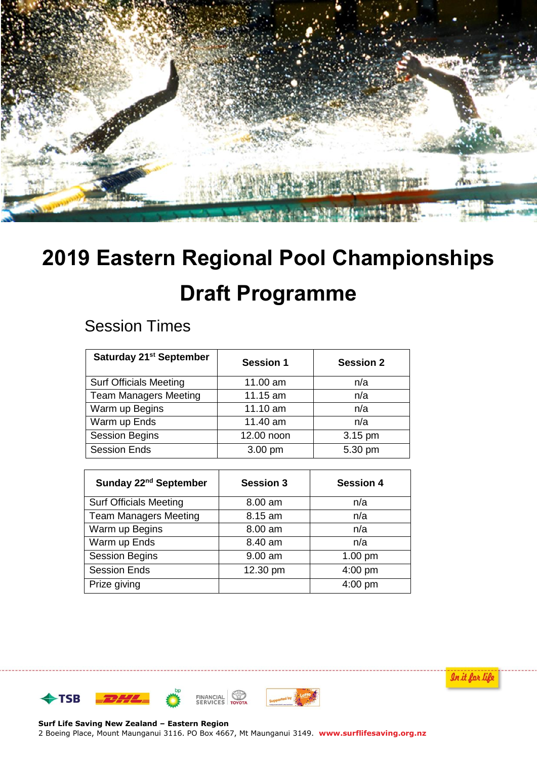

# **2019 Eastern Regional Pool Championships Draft Programme**

## Session Times

| Saturday 21 <sup>st</sup> September | <b>Session 1</b> | <b>Session 2</b> |
|-------------------------------------|------------------|------------------|
| <b>Surf Officials Meeting</b>       | 11.00 am         | n/a              |
| <b>Team Managers Meeting</b>        | 11.15 am         | n/a              |
| Warm up Begins                      | 11.10 am         | n/a              |
| Warm up Ends                        | 11.40 am         | n/a              |
| <b>Session Begins</b>               | 12.00 noon       | 3.15 pm          |
| <b>Session Ends</b>                 | 3.00 pm          | 5.30 pm          |

| Sunday 22 <sup>nd</sup> September | <b>Session 3</b> | <b>Session 4</b> |
|-----------------------------------|------------------|------------------|
| <b>Surf Officials Meeting</b>     | 8.00 am          | n/a              |
| <b>Team Managers Meeting</b>      | 8.15 am          | n/a              |
| Warm up Begins                    | 8.00 am          | n/a              |
| Warm up Ends                      | 8.40 am          | n/a              |
| <b>Session Begins</b>             | 9.00 am          | $1.00$ pm        |
| <b>Session Ends</b>               | 12.30 pm         | 4:00 pm          |
| Prize giving                      |                  | $4:00$ pm        |







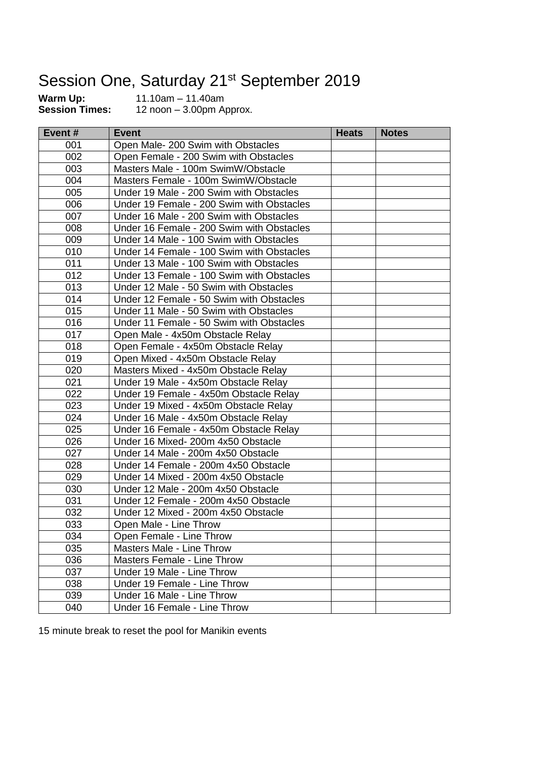# Session One, Saturday 21<sup>st</sup> September 2019

**Warm Up:** 11.10am – 11.40am<br>**Session Times:** 12 noon – 3.00pm A

**Session Times:** 12 noon – 3.00pm Approx.

| Event# | <b>Event</b>                              | <b>Heats</b> | <b>Notes</b> |
|--------|-------------------------------------------|--------------|--------------|
| 001    | Open Male- 200 Swim with Obstacles        |              |              |
| 002    | Open Female - 200 Swim with Obstacles     |              |              |
| 003    | Masters Male - 100m SwimW/Obstacle        |              |              |
| 004    | Masters Female - 100m SwimW/Obstacle      |              |              |
| 005    | Under 19 Male - 200 Swim with Obstacles   |              |              |
| 006    | Under 19 Female - 200 Swim with Obstacles |              |              |
| 007    | Under 16 Male - 200 Swim with Obstacles   |              |              |
| 008    | Under 16 Female - 200 Swim with Obstacles |              |              |
| 009    | Under 14 Male - 100 Swim with Obstacles   |              |              |
| 010    | Under 14 Female - 100 Swim with Obstacles |              |              |
| 011    | Under 13 Male - 100 Swim with Obstacles   |              |              |
| 012    | Under 13 Female - 100 Swim with Obstacles |              |              |
| 013    | Under 12 Male - 50 Swim with Obstacles    |              |              |
| 014    | Under 12 Female - 50 Swim with Obstacles  |              |              |
| 015    | Under 11 Male - 50 Swim with Obstacles    |              |              |
| 016    | Under 11 Female - 50 Swim with Obstacles  |              |              |
| 017    | Open Male - 4x50m Obstacle Relay          |              |              |
| 018    | Open Female - 4x50m Obstacle Relay        |              |              |
| 019    | Open Mixed - 4x50m Obstacle Relay         |              |              |
| 020    | Masters Mixed - 4x50m Obstacle Relay      |              |              |
| 021    | Under 19 Male - 4x50m Obstacle Relay      |              |              |
| 022    | Under 19 Female - 4x50m Obstacle Relay    |              |              |
| 023    | Under 19 Mixed - 4x50m Obstacle Relay     |              |              |
| 024    | Under 16 Male - 4x50m Obstacle Relay      |              |              |
| 025    | Under 16 Female - 4x50m Obstacle Relay    |              |              |
| 026    | Under 16 Mixed- 200m 4x50 Obstacle        |              |              |
| 027    | Under 14 Male - 200m 4x50 Obstacle        |              |              |
| 028    | Under 14 Female - 200m 4x50 Obstacle      |              |              |
| 029    | Under 14 Mixed - 200m 4x50 Obstacle       |              |              |
| 030    | Under 12 Male - 200m 4x50 Obstacle        |              |              |
| 031    | Under 12 Female - 200m 4x50 Obstacle      |              |              |
| 032    | Under 12 Mixed - 200m 4x50 Obstacle       |              |              |
| 033    | Open Male - Line Throw                    |              |              |
| 034    | Open Female - Line Throw                  |              |              |
| 035    | Masters Male - Line Throw                 |              |              |
| 036    | <b>Masters Female - Line Throw</b>        |              |              |
| 037    | Under 19 Male - Line Throw                |              |              |
| 038    | Under 19 Female - Line Throw              |              |              |
| 039    | Under 16 Male - Line Throw                |              |              |
| 040    | Under 16 Female - Line Throw              |              |              |

15 minute break to reset the pool for Manikin events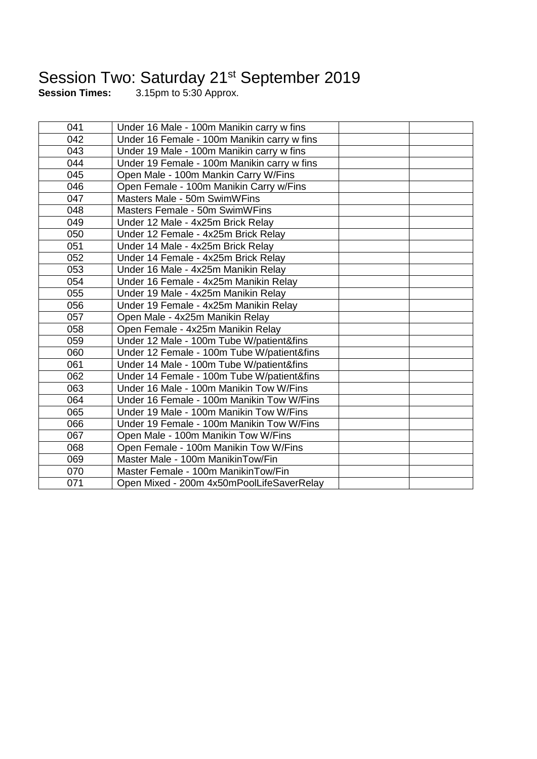### Session Two: Saturday 21<sup>st</sup> September 2019

**Session Times:** 3.15pm to 5:30 Approx.

| 041 | Under 16 Male - 100m Manikin carry w fins   |
|-----|---------------------------------------------|
| 042 | Under 16 Female - 100m Manikin carry w fins |
| 043 | Under 19 Male - 100m Manikin carry w fins   |
| 044 | Under 19 Female - 100m Manikin carry w fins |
| 045 | Open Male - 100m Mankin Carry W/Fins        |
| 046 | Open Female - 100m Manikin Carry w/Fins     |
| 047 | Masters Male - 50m SwimWFins                |
| 048 | Masters Female - 50m SwimWFins              |
| 049 | Under 12 Male - 4x25m Brick Relay           |
| 050 | Under 12 Female - 4x25m Brick Relay         |
| 051 | Under 14 Male - 4x25m Brick Relay           |
| 052 | Under 14 Female - 4x25m Brick Relay         |
| 053 | Under 16 Male - 4x25m Manikin Relay         |
| 054 | Under 16 Female - 4x25m Manikin Relay       |
| 055 | Under 19 Male - 4x25m Manikin Relay         |
| 056 | Under 19 Female - 4x25m Manikin Relay       |
| 057 | Open Male - 4x25m Manikin Relay             |
| 058 | Open Female - 4x25m Manikin Relay           |
| 059 | Under 12 Male - 100m Tube W/patient&fins    |
| 060 | Under 12 Female - 100m Tube W/patient&fins  |
| 061 | Under 14 Male - 100m Tube W/patient&fins    |
| 062 | Under 14 Female - 100m Tube W/patient&fins  |
| 063 | Under 16 Male - 100m Manikin Tow W/Fins     |
| 064 | Under 16 Female - 100m Manikin Tow W/Fins   |
| 065 | Under 19 Male - 100m Manikin Tow W/Fins     |
| 066 | Under 19 Female - 100m Manikin Tow W/Fins   |
| 067 | Open Male - 100m Manikin Tow W/Fins         |
| 068 | Open Female - 100m Manikin Tow W/Fins       |
| 069 | Master Male - 100m ManikinTow/Fin           |
| 070 | Master Female - 100m ManikinTow/Fin         |
| 071 | Open Mixed - 200m 4x50mPoolLifeSaverRelay   |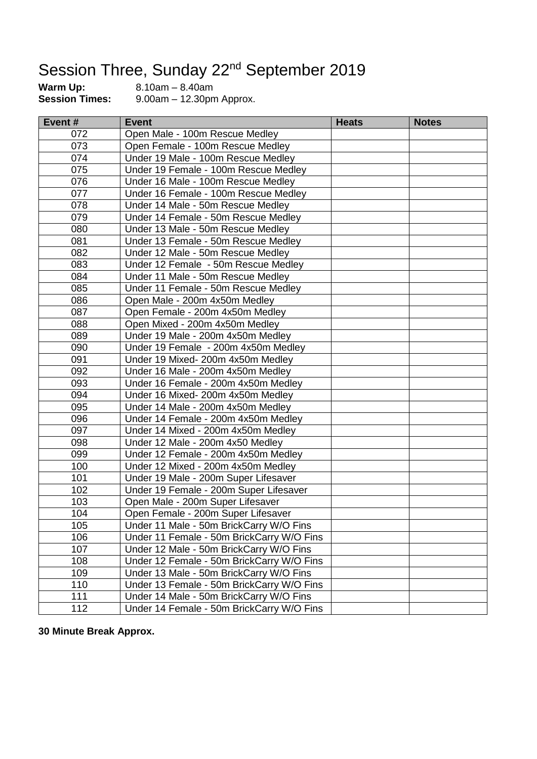# Session Three, Sunday 22<sup>nd</sup> September 2019<br>Warm Up: 8.10am – 8.40am<br>Session Times: 9.00am – 12.30pm Approx.

**Warm Up:** 8.10am – 8.40am **Session Times:** 9.00am – 12.30pm Approx.

| Event# | <b>Event</b>                              | <b>Heats</b> | <b>Notes</b> |
|--------|-------------------------------------------|--------------|--------------|
| 072    | Open Male - 100m Rescue Medley            |              |              |
| 073    | Open Female - 100m Rescue Medley          |              |              |
| 074    | Under 19 Male - 100m Rescue Medley        |              |              |
| 075    | Under 19 Female - 100m Rescue Medley      |              |              |
| 076    | Under 16 Male - 100m Rescue Medley        |              |              |
| 077    | Under 16 Female - 100m Rescue Medley      |              |              |
| 078    | Under 14 Male - 50m Rescue Medley         |              |              |
| 079    | Under 14 Female - 50m Rescue Medley       |              |              |
| 080    | Under 13 Male - 50m Rescue Medley         |              |              |
| 081    | Under 13 Female - 50m Rescue Medley       |              |              |
| 082    | Under 12 Male - 50m Rescue Medley         |              |              |
| 083    | Under 12 Female - 50m Rescue Medley       |              |              |
| 084    | Under 11 Male - 50m Rescue Medley         |              |              |
| 085    | Under 11 Female - 50m Rescue Medley       |              |              |
| 086    | Open Male - 200m 4x50m Medley             |              |              |
| 087    | Open Female - 200m 4x50m Medley           |              |              |
| 088    | Open Mixed - 200m 4x50m Medley            |              |              |
| 089    | Under 19 Male - 200m 4x50m Medley         |              |              |
| 090    | Under 19 Female - 200m 4x50m Medley       |              |              |
| 091    | Under 19 Mixed- 200m 4x50m Medley         |              |              |
| 092    | Under 16 Male - 200m 4x50m Medley         |              |              |
| 093    | Under 16 Female - 200m 4x50m Medley       |              |              |
| 094    | Under 16 Mixed- 200m 4x50m Medley         |              |              |
| 095    | Under 14 Male - 200m 4x50m Medley         |              |              |
| 096    | Under 14 Female - 200m 4x50m Medley       |              |              |
| 097    | Under 14 Mixed - 200m 4x50m Medley        |              |              |
| 098    | Under 12 Male - 200m 4x50 Medley          |              |              |
| 099    | Under 12 Female - 200m 4x50m Medley       |              |              |
| 100    | Under 12 Mixed - 200m 4x50m Medley        |              |              |
| 101    | Under 19 Male - 200m Super Lifesaver      |              |              |
| 102    | Under 19 Female - 200m Super Lifesaver    |              |              |
| 103    | Open Male - 200m Super Lifesaver          |              |              |
| 104    | Open Female - 200m Super Lifesaver        |              |              |
| 105    | Under 11 Male - 50m BrickCarry W/O Fins   |              |              |
| 106    | Under 11 Female - 50m BrickCarry W/O Fins |              |              |
| 107    | Under 12 Male - 50m BrickCarry W/O Fins   |              |              |
| 108    | Under 12 Female - 50m BrickCarry W/O Fins |              |              |
| 109    | Under 13 Male - 50m BrickCarry W/O Fins   |              |              |
| 110    | Under 13 Female - 50m BrickCarry W/O Fins |              |              |
| 111    | Under 14 Male - 50m BrickCarry W/O Fins   |              |              |
| 112    | Under 14 Female - 50m BrickCarry W/O Fins |              |              |

**30 Minute Break Approx.**